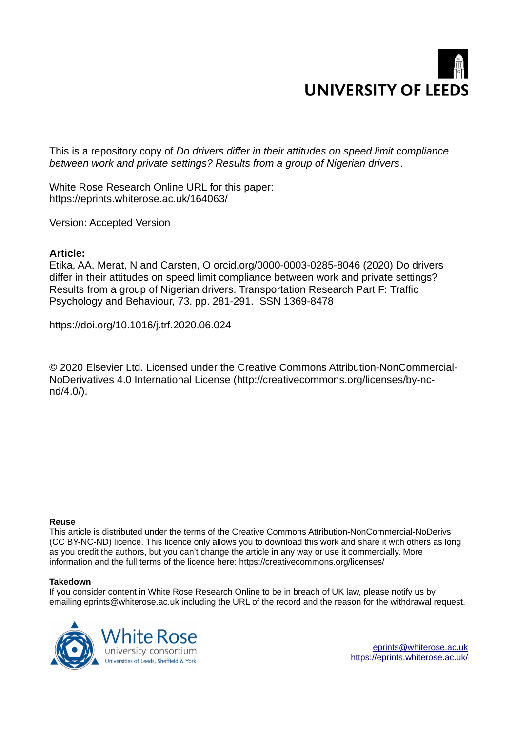

This is a repository copy of *Do drivers differ in their attitudes on speed limit compliance between work and private settings? Results from a group of Nigerian drivers*.

White Rose Research Online URL for this paper: https://eprints.whiterose.ac.uk/164063/

Version: Accepted Version

#### **Article:**

Etika, AA, Merat, N and Carsten, O orcid.org/0000-0003-0285-8046 (2020) Do drivers differ in their attitudes on speed limit compliance between work and private settings? Results from a group of Nigerian drivers. Transportation Research Part F: Traffic Psychology and Behaviour, 73. pp. 281-291. ISSN 1369-8478

https://doi.org/10.1016/j.trf.2020.06.024

© 2020 Elsevier Ltd. Licensed under the Creative Commons Attribution-NonCommercial-NoDerivatives 4.0 International License (http://creativecommons.org/licenses/by-ncnd/4.0/).

#### **Reuse**

This article is distributed under the terms of the Creative Commons Attribution-NonCommercial-NoDerivs (CC BY-NC-ND) licence. This licence only allows you to download this work and share it with others as long as you credit the authors, but you can't change the article in any way or use it commercially. More information and the full terms of the licence here: https://creativecommons.org/licenses/

#### **Takedown**

If you consider content in White Rose Research Online to be in breach of UK law, please notify us by emailing eprints@whiterose.ac.uk including the URL of the record and the reason for the withdrawal request.

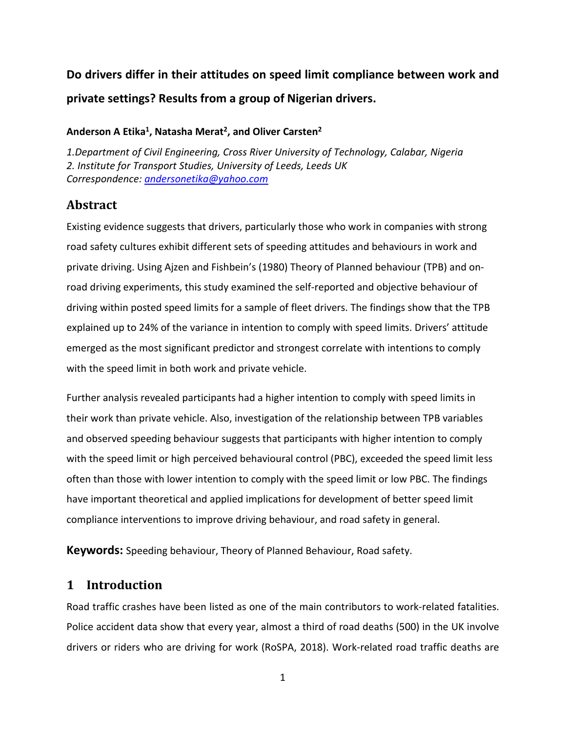# **Do drivers differ in their attitudes on speed limit compliance between work and private settings? Results from a group of Nigerian drivers.**

# **Anderson A Etika<sup>1</sup> , Natasha Merat<sup>2</sup> , and Oliver Carsten<sup>2</sup>**

*1.Department of Civil Engineering, Cross River University of Technology, Calabar, Nigeria 2. Institute for Transport Studies, University of Leeds, Leeds UK Correspondence: andersonetika@yahoo.com*

# **Abstract**

Existing evidence suggests that drivers, particularly those who work in companies with strong road safety cultures exhibit different sets of speeding attitudes and behaviours in work and private driving. Using Ajzen and Fishbein's (1980) Theory of Planned behaviour (TPB) and onroad driving experiments, this study examined the self-reported and objective behaviour of driving within posted speed limits for a sample of fleet drivers. The findings show that the TPB explained up to 24% of the variance in intention to comply with speed limits. Drivers' attitude emerged as the most significant predictor and strongest correlate with intentions to comply with the speed limit in both work and private vehicle.

Further analysis revealed participants had a higher intention to comply with speed limits in their work than private vehicle. Also, investigation of the relationship between TPB variables and observed speeding behaviour suggests that participants with higher intention to comply with the speed limit or high perceived behavioural control (PBC), exceeded the speed limit less often than those with lower intention to comply with the speed limit or low PBC. The findings have important theoretical and applied implications for development of better speed limit compliance interventions to improve driving behaviour, and road safety in general.

**Keywords:** Speeding behaviour, Theory of Planned Behaviour, Road safety.

# **1 Introduction**

Road traffic crashes have been listed as one of the main contributors to work-related fatalities. Police accident data show that every year, almost a third of road deaths (500) in the UK involve drivers or riders who are driving for work (RoSPA, 2018). Work-related road traffic deaths are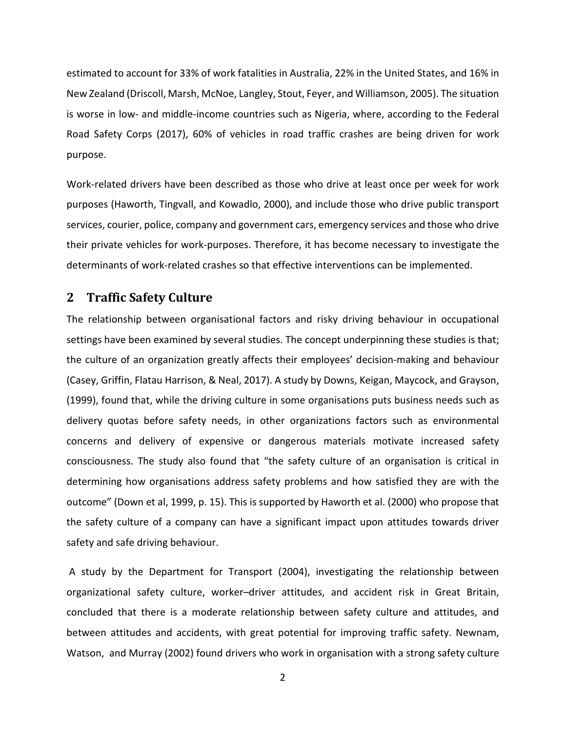estimated to account for 33% of work fatalities in Australia, 22% in the United States, and 16% in New Zealand (Driscoll, Marsh, McNoe, Langley, Stout, Feyer, and Williamson, 2005). The situation is worse in low- and middle-income countries such as Nigeria, where, according to the Federal Road Safety Corps (2017), 60% of vehicles in road traffic crashes are being driven for work purpose.

Work-related drivers have been described as those who drive at least once per week for work purposes (Haworth, Tingvall, and Kowadlo, 2000), and include those who drive public transport services, courier, police, company and government cars, emergency services and those who drive their private vehicles for work-purposes. Therefore, it has become necessary to investigate the determinants of work-related crashes so that effective interventions can be implemented.

#### **2 Traffic Safety Culture**

The relationship between organisational factors and risky driving behaviour in occupational settings have been examined by several studies. The concept underpinning these studies is that; the culture of an organization greatly affects their employees' decision-making and behaviour (Casey, Griffin, Flatau Harrison, & Neal, 2017). A study by Downs, Keigan, Maycock, and Grayson, (1999), found that, while the driving culture in some organisations puts business needs such as delivery quotas before safety needs, in other organizations factors such as environmental concerns and delivery of expensive or dangerous materials motivate increased safety consciousness. The study also found that "the safety culture of an organisation is critical in determining how organisations address safety problems and how satisfied they are with the outcome" (Down et al, 1999, p. 15). This is supported by Haworth et al. (2000) who propose that the safety culture of a company can have a significant impact upon attitudes towards driver safety and safe driving behaviour.

A study by the Department for Transport (2004), investigating the relationship between organizational safety culture, worker–driver attitudes, and accident risk in Great Britain, concluded that there is a moderate relationship between safety culture and attitudes, and between attitudes and accidents, with great potential for improving traffic safety. Newnam, Watson, and Murray (2002) found drivers who work in organisation with a strong safety culture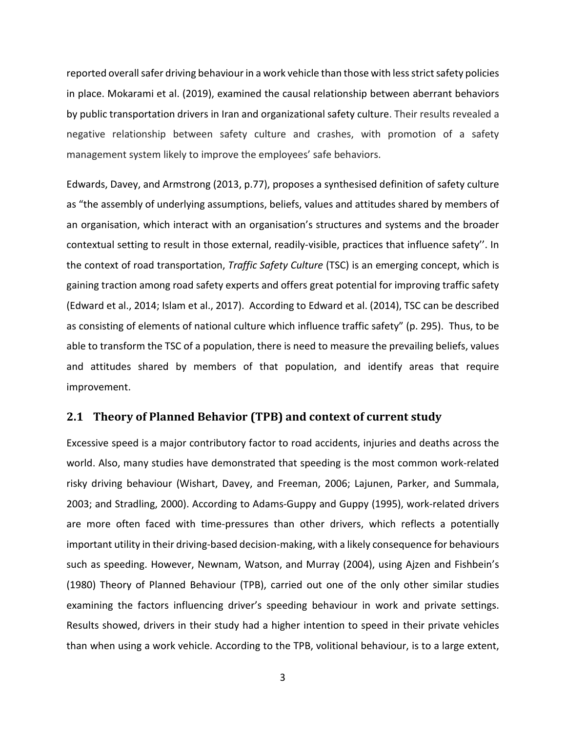reported overall safer driving behaviour in a work vehicle than those with less strict safety policies in place. Mokarami et al. (2019), examined the causal relationship between aberrant behaviors by public transportation drivers in Iran and organizational safety culture. Their results revealed a negative relationship between safety culture and crashes, with promotion of a safety management system likely to improve the employees' safe behaviors.

Edwards, Davey, and Armstrong (2013, p.77), proposes a synthesised definition of safety culture as "the assembly of underlying assumptions, beliefs, values and attitudes shared by members of an organisation, which interact with an organisation's structures and systems and the broader contextual setting to result in those external, readily-visible, practices that influence safety''. In the context of road transportation, *Traffic Safety Culture* (TSC) is an emerging concept, which is gaining traction among road safety experts and offers great potential for improving traffic safety (Edward et al., 2014; Islam et al., 2017). According to Edward et al. (2014), TSC can be described as consisting of elements of national culture which influence traffic safety" (p. 295). Thus, to be able to transform the TSC of a population, there is need to measure the prevailing beliefs, values and attitudes shared by members of that population, and identify areas that require improvement.

#### **2.1 Theory of Planned Behavior (TPB) and context of current study**

Excessive speed is a major contributory factor to road accidents, injuries and deaths across the world. Also, many studies have demonstrated that speeding is the most common work-related risky driving behaviour (Wishart, Davey, and Freeman, 2006; Lajunen, Parker, and Summala, 2003; and Stradling, 2000). According to Adams-Guppy and Guppy (1995), work-related drivers are more often faced with time-pressures than other drivers, which reflects a potentially important utility in their driving-based decision-making, with a likely consequence for behaviours such as speeding. However, Newnam, Watson, and Murray (2004), using Ajzen and Fishbein's (1980) Theory of Planned Behaviour (TPB), carried out one of the only other similar studies examining the factors influencing driver's speeding behaviour in work and private settings. Results showed, drivers in their study had a higher intention to speed in their private vehicles than when using a work vehicle. According to the TPB, volitional behaviour, is to a large extent,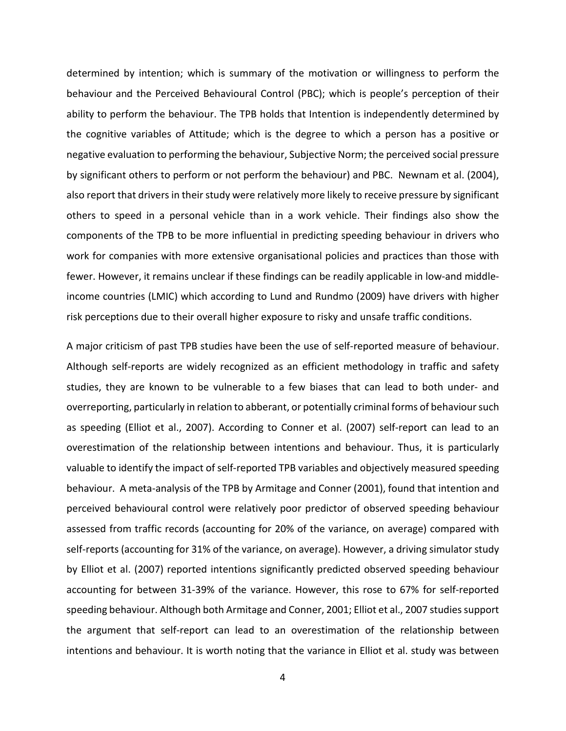determined by intention; which is summary of the motivation or willingness to perform the behaviour and the Perceived Behavioural Control (PBC); which is people's perception of their ability to perform the behaviour. The TPB holds that Intention is independently determined by the cognitive variables of Attitude; which is the degree to which a person has a positive or negative evaluation to performing the behaviour, Subjective Norm; the perceived social pressure by significant others to perform or not perform the behaviour) and PBC. Newnam et al. (2004), also report that drivers in their study were relatively more likely to receive pressure by significant others to speed in a personal vehicle than in a work vehicle. Their findings also show the components of the TPB to be more influential in predicting speeding behaviour in drivers who work for companies with more extensive organisational policies and practices than those with fewer. However, it remains unclear if these findings can be readily applicable in low-and middleincome countries (LMIC) which according to Lund and Rundmo (2009) have drivers with higher risk perceptions due to their overall higher exposure to risky and unsafe traffic conditions.

A major criticism of past TPB studies have been the use of self-reported measure of behaviour. Although self-reports are widely recognized as an efficient methodology in traffic and safety studies, they are known to be vulnerable to a few biases that can lead to both under- and overreporting, particularly in relation to abberant, or potentially criminal forms of behaviour such as speeding (Elliot et al., 2007). According to Conner et al. (2007) self-report can lead to an overestimation of the relationship between intentions and behaviour. Thus, it is particularly valuable to identify the impact of self-reported TPB variables and objectively measured speeding behaviour. A meta-analysis of the TPB by Armitage and Conner (2001), found that intention and perceived behavioural control were relatively poor predictor of observed speeding behaviour assessed from traffic records (accounting for 20% of the variance, on average) compared with self-reports (accounting for 31% of the variance, on average). However, a driving simulator study by Elliot et al. (2007) reported intentions significantly predicted observed speeding behaviour accounting for between 31-39% of the variance. However, this rose to 67% for self-reported speeding behaviour. Although both Armitage and Conner, 2001; Elliot et al., 2007 studies support the argument that self-report can lead to an overestimation of the relationship between intentions and behaviour. It is worth noting that the variance in Elliot et al. study was between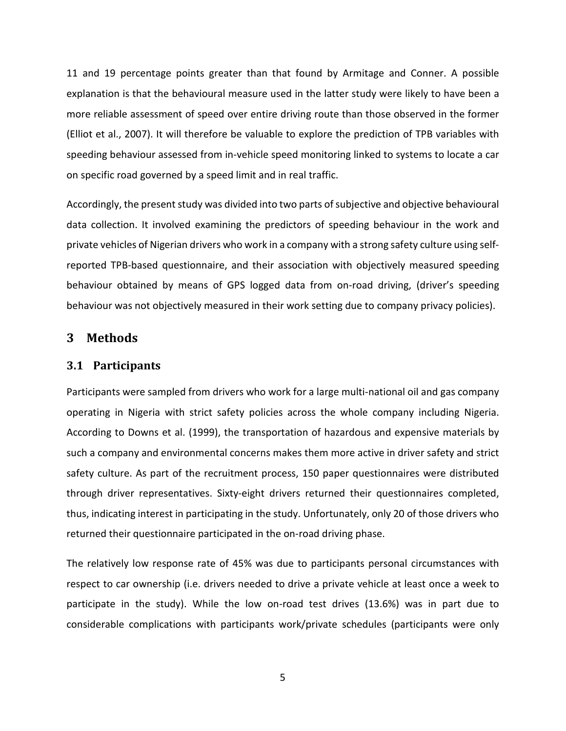11 and 19 percentage points greater than that found by Armitage and Conner. A possible explanation is that the behavioural measure used in the latter study were likely to have been a more reliable assessment of speed over entire driving route than those observed in the former (Elliot et al., 2007). It will therefore be valuable to explore the prediction of TPB variables with speeding behaviour assessed from in-vehicle speed monitoring linked to systems to locate a car on specific road governed by a speed limit and in real traffic.

Accordingly, the present study was divided into two parts of subjective and objective behavioural data collection. It involved examining the predictors of speeding behaviour in the work and private vehicles of Nigerian drivers who work in a company with a strong safety culture using selfreported TPB-based questionnaire, and their association with objectively measured speeding behaviour obtained by means of GPS logged data from on-road driving, (driver's speeding behaviour was not objectively measured in their work setting due to company privacy policies).

### **3 Methods**

#### **3.1 Participants**

Participants were sampled from drivers who work for a large multi-national oil and gas company operating in Nigeria with strict safety policies across the whole company including Nigeria. According to Downs et al. (1999), the transportation of hazardous and expensive materials by such a company and environmental concerns makes them more active in driver safety and strict safety culture. As part of the recruitment process, 150 paper questionnaires were distributed through driver representatives. Sixty-eight drivers returned their questionnaires completed, thus, indicating interest in participating in the study. Unfortunately, only 20 of those drivers who returned their questionnaire participated in the on-road driving phase.

The relatively low response rate of 45% was due to participants personal circumstances with respect to car ownership (i.e. drivers needed to drive a private vehicle at least once a week to participate in the study). While the low on-road test drives (13.6%) was in part due to considerable complications with participants work/private schedules (participants were only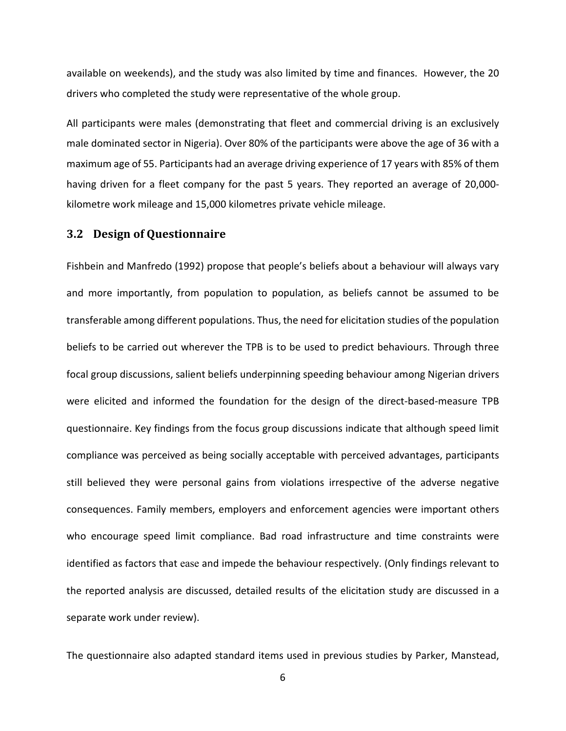available on weekends), and the study was also limited by time and finances. However, the 20 drivers who completed the study were representative of the whole group.

All participants were males (demonstrating that fleet and commercial driving is an exclusively male dominated sector in Nigeria). Over 80% of the participants were above the age of 36 with a maximum age of 55. Participants had an average driving experience of 17 years with 85% of them having driven for a fleet company for the past 5 years. They reported an average of 20,000 kilometre work mileage and 15,000 kilometres private vehicle mileage.

#### **3.2 Design of Questionnaire**

Fishbein and Manfredo (1992) propose that people's beliefs about a behaviour will always vary and more importantly, from population to population, as beliefs cannot be assumed to be transferable among different populations. Thus, the need for elicitation studies of the population beliefs to be carried out wherever the TPB is to be used to predict behaviours. Through three focal group discussions, salient beliefs underpinning speeding behaviour among Nigerian drivers were elicited and informed the foundation for the design of the direct-based-measure TPB questionnaire. Key findings from the focus group discussions indicate that although speed limit compliance was perceived as being socially acceptable with perceived advantages, participants still believed they were personal gains from violations irrespective of the adverse negative consequences. Family members, employers and enforcement agencies were important others who encourage speed limit compliance. Bad road infrastructure and time constraints were identified as factors that ease and impede the behaviour respectively. (Only findings relevant to the reported analysis are discussed, detailed results of the elicitation study are discussed in a separate work under review).

The questionnaire also adapted standard items used in previous studies by Parker, Manstead,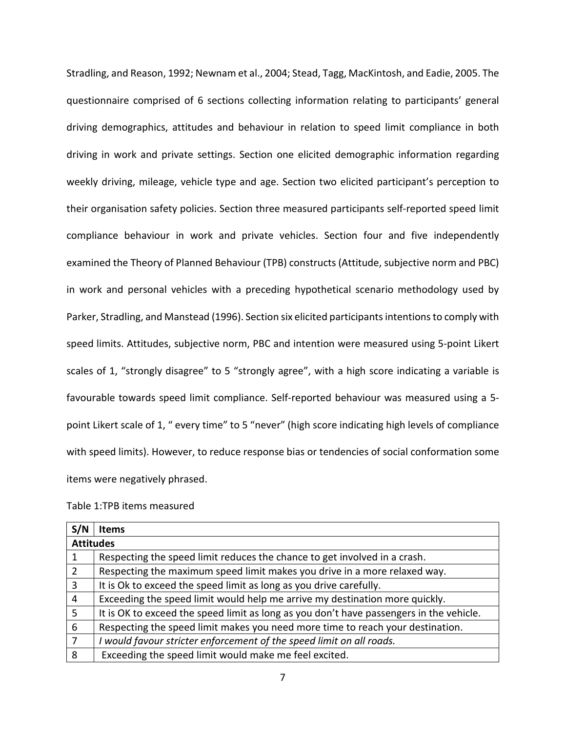Stradling, and Reason, 1992; Newnam et al., 2004; Stead, Tagg, MacKintosh, and Eadie, 2005. The questionnaire comprised of 6 sections collecting information relating to participants' general driving demographics, attitudes and behaviour in relation to speed limit compliance in both driving in work and private settings. Section one elicited demographic information regarding weekly driving, mileage, vehicle type and age. Section two elicited participant's perception to their organisation safety policies. Section three measured participants self-reported speed limit compliance behaviour in work and private vehicles. Section four and five independently examined the Theory of Planned Behaviour (TPB) constructs (Attitude, subjective norm and PBC) in work and personal vehicles with a preceding hypothetical scenario methodology used by Parker, Stradling, and Manstead (1996). Section six elicited participants intentions to comply with speed limits. Attitudes, subjective norm, PBC and intention were measured using 5-point Likert scales of 1, "strongly disagree" to 5 "strongly agree", with a high score indicating a variable is favourable towards speed limit compliance. Self-reported behaviour was measured using a 5 point Likert scale of 1, " every time" to 5 "never" (high score indicating high levels of compliance with speed limits). However, to reduce response bias or tendencies of social conformation some items were negatively phrased.

|  |  |  | Table 1:TPB items measured |
|--|--|--|----------------------------|
|--|--|--|----------------------------|

| S/N              | <b>Items</b>                                                                            |
|------------------|-----------------------------------------------------------------------------------------|
| <b>Attitudes</b> |                                                                                         |
|                  | Respecting the speed limit reduces the chance to get involved in a crash.               |
| 2                | Respecting the maximum speed limit makes you drive in a more relaxed way.               |
| 3                | It is Ok to exceed the speed limit as long as you drive carefully.                      |
| 4                | Exceeding the speed limit would help me arrive my destination more quickly.             |
| 5                | It is OK to exceed the speed limit as long as you don't have passengers in the vehicle. |
| 6                | Respecting the speed limit makes you need more time to reach your destination.          |
|                  | would favour stricter enforcement of the speed limit on all roads.                      |
| 8                | Exceeding the speed limit would make me feel excited.                                   |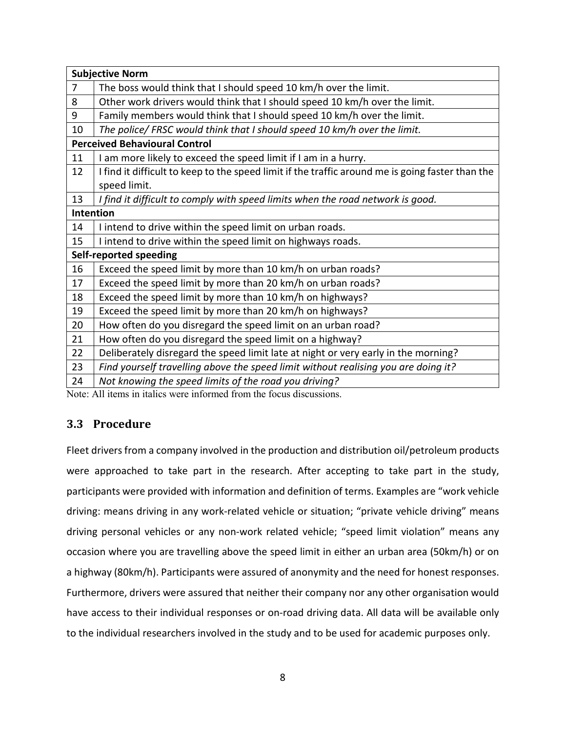|                | <b>Subjective Norm</b>                                                                           |
|----------------|--------------------------------------------------------------------------------------------------|
| $\overline{7}$ | The boss would think that I should speed 10 km/h over the limit.                                 |
| 8              | Other work drivers would think that I should speed 10 km/h over the limit.                       |
| 9              | Family members would think that I should speed 10 km/h over the limit.                           |
| 10             | The police/ FRSC would think that I should speed 10 km/h over the limit.                         |
|                | <b>Perceived Behavioural Control</b>                                                             |
| 11             | I am more likely to exceed the speed limit if I am in a hurry.                                   |
| 12             | I find it difficult to keep to the speed limit if the traffic around me is going faster than the |
|                | speed limit.                                                                                     |
| 13             | I find it difficult to comply with speed limits when the road network is good.                   |
|                | <b>Intention</b>                                                                                 |
| 14             | I intend to drive within the speed limit on urban roads.                                         |
| 15             | I intend to drive within the speed limit on highways roads.                                      |
|                | Self-reported speeding                                                                           |
| 16             | Exceed the speed limit by more than 10 km/h on urban roads?                                      |
| 17             | Exceed the speed limit by more than 20 km/h on urban roads?                                      |
| 18             | Exceed the speed limit by more than 10 km/h on highways?                                         |
| 19             | Exceed the speed limit by more than 20 km/h on highways?                                         |
| 20             | How often do you disregard the speed limit on an urban road?                                     |
| 21             | How often do you disregard the speed limit on a highway?                                         |
| 22             | Deliberately disregard the speed limit late at night or very early in the morning?               |
| 23             | Find yourself travelling above the speed limit without realising you are doing it?               |
| 24             | Not knowing the speed limits of the road you driving?                                            |

Note: All items in italics were informed from the focus discussions.

## **3.3 Procedure**

Fleet drivers from a company involved in the production and distribution oil/petroleum products were approached to take part in the research. After accepting to take part in the study, participants were provided with information and definition of terms. Examples are "work vehicle driving: means driving in any work-related vehicle or situation; "private vehicle driving" means driving personal vehicles or any non-work related vehicle; "speed limit violation" means any occasion where you are travelling above the speed limit in either an urban area (50km/h) or on a highway (80km/h). Participants were assured of anonymity and the need for honest responses. Furthermore, drivers were assured that neither their company nor any other organisation would have access to their individual responses or on-road driving data. All data will be available only to the individual researchers involved in the study and to be used for academic purposes only.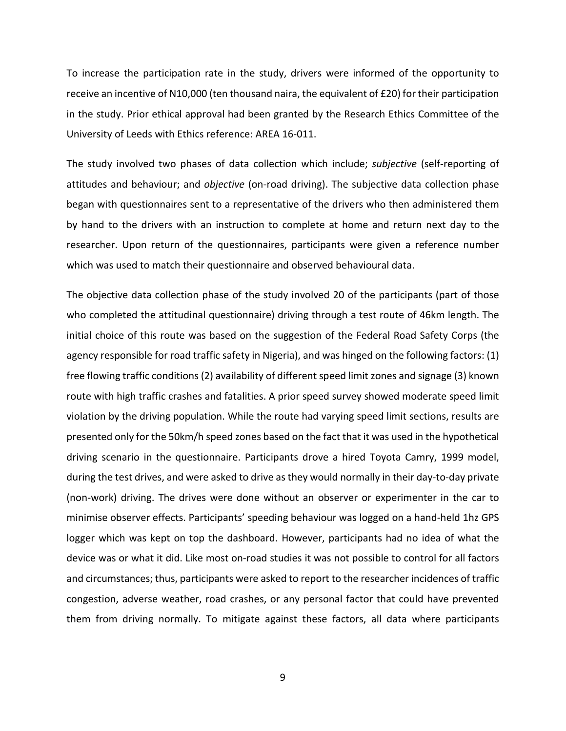To increase the participation rate in the study, drivers were informed of the opportunity to receive an incentive of N10,000 (ten thousand naira, the equivalent of £20) for their participation in the study. Prior ethical approval had been granted by the Research Ethics Committee of the University of Leeds with Ethics reference: AREA 16-011.

The study involved two phases of data collection which include; *subjective* (self-reporting of attitudes and behaviour; and *objective* (on-road driving). The subjective data collection phase began with questionnaires sent to a representative of the drivers who then administered them by hand to the drivers with an instruction to complete at home and return next day to the researcher. Upon return of the questionnaires, participants were given a reference number which was used to match their questionnaire and observed behavioural data.

The objective data collection phase of the study involved 20 of the participants (part of those who completed the attitudinal questionnaire) driving through a test route of 46km length. The initial choice of this route was based on the suggestion of the Federal Road Safety Corps (the agency responsible for road traffic safety in Nigeria), and was hinged on the following factors: (1) free flowing traffic conditions (2) availability of different speed limit zones and signage (3) known route with high traffic crashes and fatalities. A prior speed survey showed moderate speed limit violation by the driving population. While the route had varying speed limit sections, results are presented only for the 50km/h speed zones based on the fact that it was used in the hypothetical driving scenario in the questionnaire. Participants drove a hired Toyota Camry, 1999 model, during the test drives, and were asked to drive as they would normally in their day-to-day private (non-work) driving. The drives were done without an observer or experimenter in the car to minimise observer effects. Participants' speeding behaviour was logged on a hand-held 1hz GPS logger which was kept on top the dashboard. However, participants had no idea of what the device was or what it did. Like most on-road studies it was not possible to control for all factors and circumstances; thus, participants were asked to report to the researcher incidences of traffic congestion, adverse weather, road crashes, or any personal factor that could have prevented them from driving normally. To mitigate against these factors, all data where participants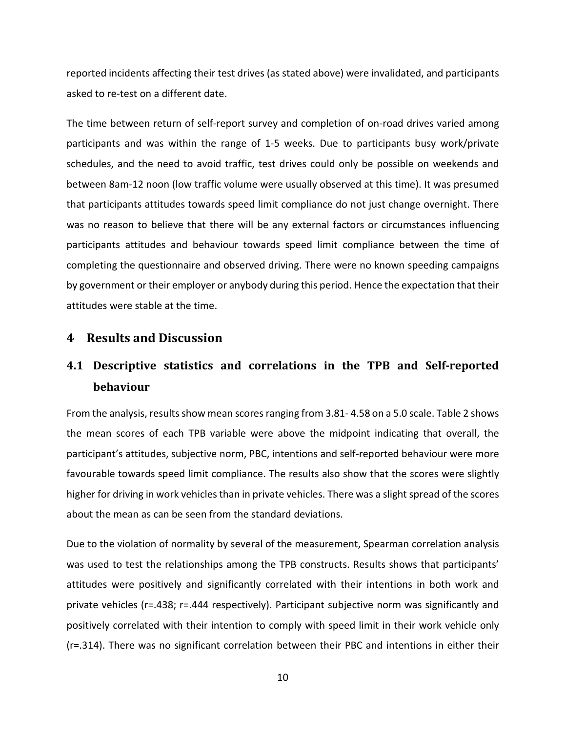reported incidents affecting their test drives (as stated above) were invalidated, and participants asked to re-test on a different date.

The time between return of self-report survey and completion of on-road drives varied among participants and was within the range of 1-5 weeks. Due to participants busy work/private schedules, and the need to avoid traffic, test drives could only be possible on weekends and between 8am-12 noon (low traffic volume were usually observed at this time). It was presumed that participants attitudes towards speed limit compliance do not just change overnight. There was no reason to believe that there will be any external factors or circumstances influencing participants attitudes and behaviour towards speed limit compliance between the time of completing the questionnaire and observed driving. There were no known speeding campaigns by government or their employer or anybody during this period. Hence the expectation that their attitudes were stable at the time.

# **4 Results and Discussion**

# **4.1 Descriptive statistics and correlations in the TPB and Self-reported behaviour**

From the analysis, results show mean scores ranging from 3.81- 4.58 on a 5.0 scale. Table 2 shows the mean scores of each TPB variable were above the midpoint indicating that overall, the participant's attitudes, subjective norm, PBC, intentions and self-reported behaviour were more favourable towards speed limit compliance. The results also show that the scores were slightly higher for driving in work vehicles than in private vehicles. There was a slight spread of the scores about the mean as can be seen from the standard deviations.

Due to the violation of normality by several of the measurement, Spearman correlation analysis was used to test the relationships among the TPB constructs. Results shows that participants' attitudes were positively and significantly correlated with their intentions in both work and private vehicles (r=.438; r=.444 respectively). Participant subjective norm was significantly and positively correlated with their intention to comply with speed limit in their work vehicle only (r=.314). There was no significant correlation between their PBC and intentions in either their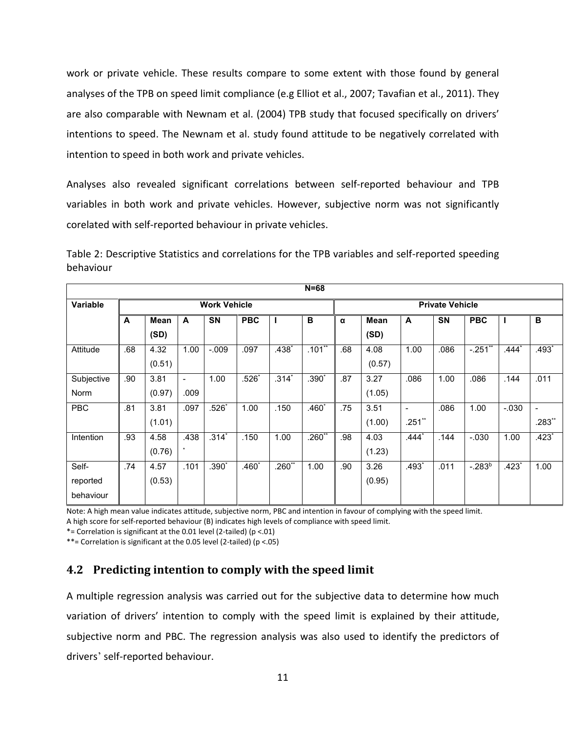work or private vehicle. These results compare to some extent with those found by general analyses of the TPB on speed limit compliance (e.g Elliot et al., 2007; Tavafian et al., 2011). They are also comparable with Newnam et al. (2004) TPB study that focused specifically on drivers' intentions to speed. The Newnam et al. study found attitude to be negatively correlated with intention to speed in both work and private vehicles.

Analyses also revealed significant correlations between self-reported behaviour and TPB variables in both work and private vehicles. However, subjective norm was not significantly corelated with self-reported behaviour in private vehicles.

| Table 2: Descriptive Statistics and correlations for the TPB variables and self-reported speeding |  |  |
|---------------------------------------------------------------------------------------------------|--|--|
| behaviour                                                                                         |  |  |

|             | $N = 68$            |        |                |           |            |          |                        |     |        |                          |           |              |          |          |
|-------------|---------------------|--------|----------------|-----------|------------|----------|------------------------|-----|--------|--------------------------|-----------|--------------|----------|----------|
| Variable    | <b>Work Vehicle</b> |        |                |           |            |          | <b>Private Vehicle</b> |     |        |                          |           |              |          |          |
|             | A                   | Mean   | A              | <b>SN</b> | <b>PBC</b> |          | B                      | α   | Mean   | A                        | <b>SN</b> | <b>PBC</b>   |          | в        |
|             |                     | (SD)   |                |           |            |          |                        |     | (SD)   |                          |           |              |          |          |
| Attitude    | .68                 | 4.32   | 1.00           | $-0.09$   | .097       | $.438*$  | $.101**$               | .68 | 4.08   | 1.00                     | .086      | $-.251$ **   | $.444*$  | $.493*$  |
|             |                     | (0.51) |                |           |            |          |                        |     | (0.57) |                          |           |              |          |          |
| Subjective  | .90                 | 3.81   | $\blacksquare$ | 1.00      | $.526*$    | $.314*$  | $.390*$                | .87 | 3.27   | .086                     | 1.00      | .086         | .144     | .011     |
| <b>Norm</b> |                     | (0.97) | .009           |           |            |          |                        |     | (1.05) |                          |           |              |          |          |
| <b>PBC</b>  | .81                 | 3.81   | .097           | $.526*$   | 1.00       | .150     | $.460*$                | .75 | 3.51   | $\overline{\phantom{a}}$ | .086      | 1.00         | $-0.030$ |          |
|             |                     | (1.01) |                |           |            |          |                        |     | (1.00) | $.251**$                 |           |              |          | $.283**$ |
| Intention   | .93                 | 4.58   | .438           | $.314*$   | .150       | 1.00     | $.260**$               | .98 | 4.03   | $.444*$                  | .144      | $-.030$      | 1.00     | $.423*$  |
|             |                     | (0.76) | $\star$        |           |            |          |                        |     | (1.23) |                          |           |              |          |          |
| Self-       | .74                 | 4.57   | .101           | $.390*$   | $.460^*$   | $.260**$ | 1.00                   | .90 | 3.26   | $.493*$                  | .011      | $-0.283^{b}$ | $.423*$  | 1.00     |
| reported    |                     | (0.53) |                |           |            |          |                        |     | (0.95) |                          |           |              |          |          |
| behaviour   |                     |        |                |           |            |          |                        |     |        |                          |           |              |          |          |

Note: A high mean value indicates attitude, subjective norm, PBC and intention in favour of complying with the speed limit. A high score for self-reported behaviour (B) indicates high levels of compliance with speed limit.

\*= Correlation is significant at the 0.01 level (2-tailed) ( $p < .01$ )

\*\*= Correlation is significant at the 0.05 level (2-tailed) ( $p < .05$ )

# **4.2 Predicting intention to comply with the speed limit**

A multiple regression analysis was carried out for the subjective data to determine how much variation of drivers' intention to comply with the speed limit is explained by their attitude, subjective norm and PBC. The regression analysis was also used to identify the predictors of drivers' self-reported behaviour.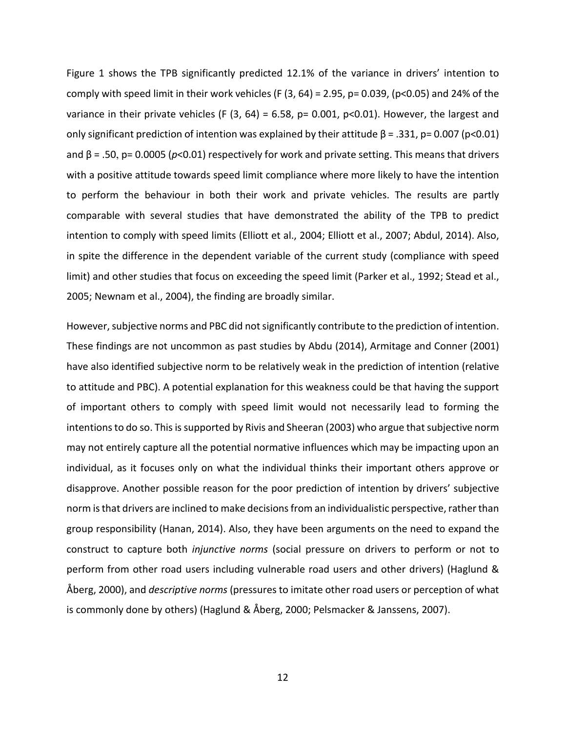Figure 1 shows the TPB significantly predicted 12.1% of the variance in drivers' intention to comply with speed limit in their work vehicles (F  $(3, 64)$  = 2.95, p= 0.039, (p<0.05) and 24% of the variance in their private vehicles (F  $(3, 64) = 6.58$ , p= 0.001, p<0.01). However, the largest and only significant prediction of intention was explained by their attitude  $\beta$  = .331, p= 0.007 (p<0.01) and β = .50, p= 0.0005 (*p*<0.01) respectively for work and private setting. This means that drivers with a positive attitude towards speed limit compliance where more likely to have the intention to perform the behaviour in both their work and private vehicles. The results are partly comparable with several studies that have demonstrated the ability of the TPB to predict intention to comply with speed limits (Elliott et al., 2004; Elliott et al., 2007; Abdul, 2014). Also, in spite the difference in the dependent variable of the current study (compliance with speed limit) and other studies that focus on exceeding the speed limit (Parker et al., 1992; Stead et al., 2005; Newnam et al., 2004), the finding are broadly similar.

However, subjective norms and PBC did not significantly contribute to the prediction of intention. These findings are not uncommon as past studies by Abdu (2014), Armitage and Conner (2001) have also identified subjective norm to be relatively weak in the prediction of intention (relative to attitude and PBC). A potential explanation for this weakness could be that having the support of important others to comply with speed limit would not necessarily lead to forming the intentions to do so. This is supported by Rivis and Sheeran (2003) who argue that subjective norm may not entirely capture all the potential normative influences which may be impacting upon an individual, as it focuses only on what the individual thinks their important others approve or disapprove. Another possible reason for the poor prediction of intention by drivers' subjective norm is that drivers are inclined to make decisions from an individualistic perspective, rather than group responsibility (Hanan, 2014). Also, they have been arguments on the need to expand the construct to capture both *injunctive norms* (social pressure on drivers to perform or not to perform from other road users including vulnerable road users and other drivers) (Haglund & Åberg, 2000), and *descriptive norms* (pressures to imitate other road users or perception of what is commonly done by others) (Haglund & Åberg, 2000; Pelsmacker & Janssens, 2007).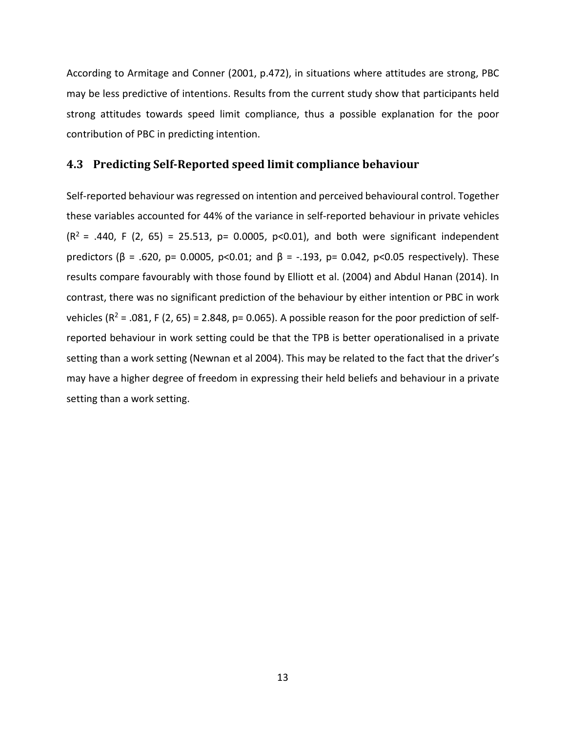According to Armitage and Conner (2001, p.472), in situations where attitudes are strong, PBC may be less predictive of intentions. Results from the current study show that participants held strong attitudes towards speed limit compliance, thus a possible explanation for the poor contribution of PBC in predicting intention.

#### **4.3 Predicting Self-Reported speed limit compliance behaviour**

Self-reported behaviour was regressed on intention and perceived behavioural control. Together these variables accounted for 44% of the variance in self-reported behaviour in private vehicles  $(R^2 = .440, F (2, 65) = 25.513, p = 0.0005, p < 0.01$ , and both were significant independent predictors ( $\beta$  = .620, p= 0.0005, p<0.01; and  $\beta$  = -.193, p= 0.042, p<0.05 respectively). These results compare favourably with those found by Elliott et al. (2004) and Abdul Hanan (2014). In contrast, there was no significant prediction of the behaviour by either intention or PBC in work vehicles ( $R^2$  = .081, F (2, 65) = 2.848, p= 0.065). A possible reason for the poor prediction of selfreported behaviour in work setting could be that the TPB is better operationalised in a private setting than a work setting (Newnan et al 2004). This may be related to the fact that the driver's may have a higher degree of freedom in expressing their held beliefs and behaviour in a private setting than a work setting.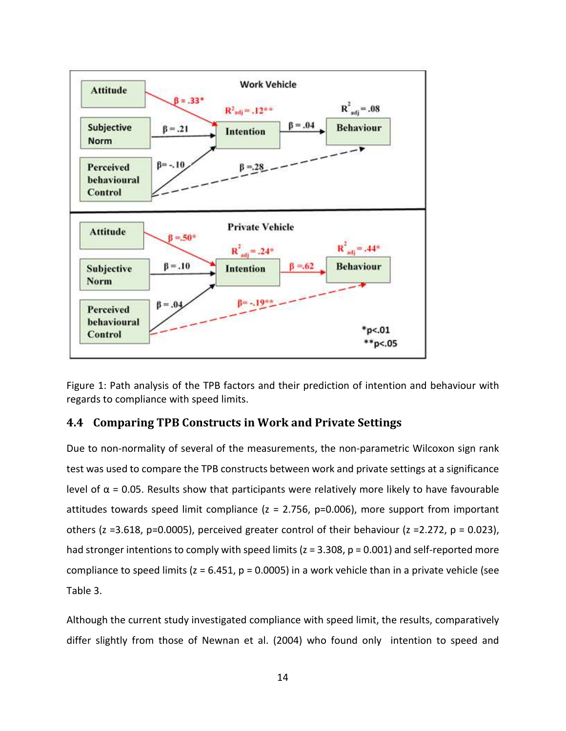

Figure 1: Path analysis of the TPB factors and their prediction of intention and behaviour with regards to compliance with speed limits.

## **4.4 Comparing TPB Constructs in Work and Private Settings**

Due to non-normality of several of the measurements, the non-parametric Wilcoxon sign rank test was used to compare the TPB constructs between work and private settings at a significance level of  $\alpha$  = 0.05. Results show that participants were relatively more likely to have favourable attitudes towards speed limit compliance ( $z = 2.756$ ,  $p=0.006$ ), more support from important others (z = 3.618, p=0.0005), perceived greater control of their behaviour (z = 2.272, p = 0.023), had stronger intentions to comply with speed limits ( $z = 3.308$ ,  $p = 0.001$ ) and self-reported more compliance to speed limits ( $z = 6.451$ ,  $p = 0.0005$ ) in a work vehicle than in a private vehicle (see Table 3.

Although the current study investigated compliance with speed limit, the results, comparatively differ slightly from those of Newnan et al. (2004) who found only intention to speed and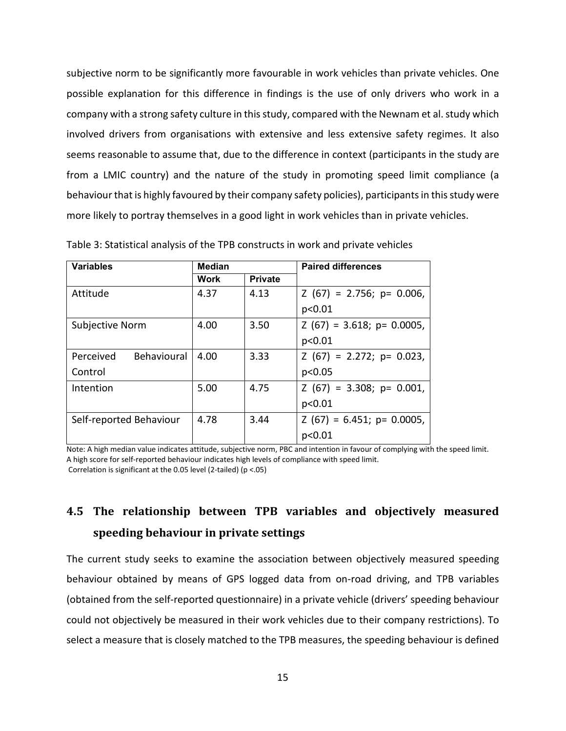subjective norm to be significantly more favourable in work vehicles than private vehicles. One possible explanation for this difference in findings is the use of only drivers who work in a company with a strong safety culture in this study, compared with the Newnam et al. study which involved drivers from organisations with extensive and less extensive safety regimes. It also seems reasonable to assume that, due to the difference in context (participants in the study are from a LMIC country) and the nature of the study in promoting speed limit compliance (a behaviour that is highly favoured by their company safety policies), participants in this study were more likely to portray themselves in a good light in work vehicles than in private vehicles.

| <b>Variables</b>                | <b>Median</b> |                | <b>Paired differences</b>    |
|---------------------------------|---------------|----------------|------------------------------|
|                                 | <b>Work</b>   | <b>Private</b> |                              |
| Attitude                        | 4.37          | 4.13           | $Z(67) = 2.756$ ; p= 0.006,  |
|                                 |               |                | p<0.01                       |
| Subjective Norm                 | 4.00          | 3.50           | $Z(67) = 3.618$ ; p= 0.0005, |
|                                 |               |                | p<0.01                       |
| <b>Behavioural</b><br>Perceived | 4.00          | 3.33           | $Z(67) = 2.272$ ; p= 0.023,  |
| Control                         |               |                | p<0.05                       |
| Intention                       | 5.00          | 4.75           | $Z(67) = 3.308$ ; p= 0.001,  |
|                                 |               |                | p<0.01                       |
| Self-reported Behaviour         | 4.78          | 3.44           | $Z(67) = 6.451$ ; p= 0.0005, |
|                                 |               |                | p<0.01                       |

Table 3: Statistical analysis of the TPB constructs in work and private vehicles

Note: A high median value indicates attitude, subjective norm, PBC and intention in favour of complying with the speed limit. A high score for self-reported behaviour indicates high levels of compliance with speed limit. Correlation is significant at the 0.05 level (2-tailed) (p <.05)

# **4.5 The relationship between TPB variables and objectively measured speeding behaviour in private settings**

The current study seeks to examine the association between objectively measured speeding behaviour obtained by means of GPS logged data from on-road driving, and TPB variables (obtained from the self-reported questionnaire) in a private vehicle (drivers' speeding behaviour could not objectively be measured in their work vehicles due to their company restrictions). To select a measure that is closely matched to the TPB measures, the speeding behaviour is defined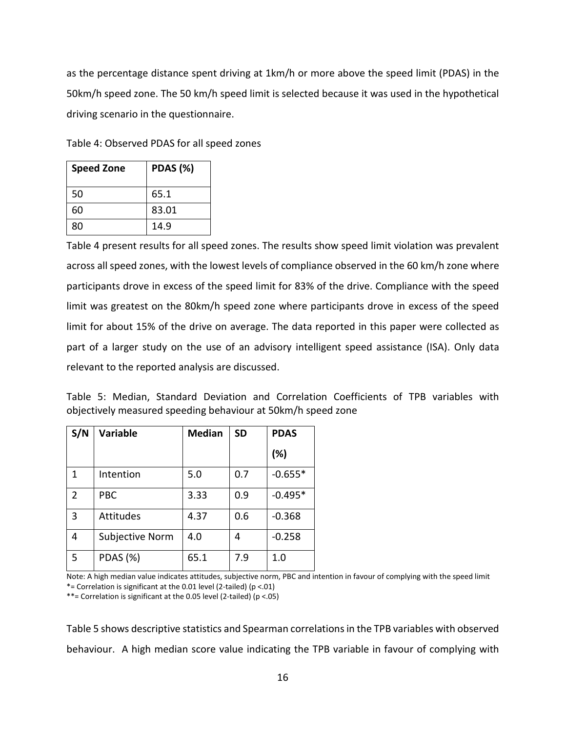as the percentage distance spent driving at 1km/h or more above the speed limit (PDAS) in the 50km/h speed zone. The 50 km/h speed limit is selected because it was used in the hypothetical driving scenario in the questionnaire.

|  | Table 4: Observed PDAS for all speed zones |  |  |  |  |
|--|--------------------------------------------|--|--|--|--|
|  |                                            |  |  |  |  |

| <b>Speed Zone</b> | <b>PDAS (%)</b> |
|-------------------|-----------------|
| 50                | 65.1            |
| 60                | 83.01           |
| 80                | 14.9            |

Table 4 present results for all speed zones. The results show speed limit violation was prevalent across all speed zones, with the lowest levels of compliance observed in the 60 km/h zone where participants drove in excess of the speed limit for 83% of the drive. Compliance with the speed limit was greatest on the 80km/h speed zone where participants drove in excess of the speed limit for about 15% of the drive on average. The data reported in this paper were collected as part of a larger study on the use of an advisory intelligent speed assistance (ISA). Only data relevant to the reported analysis are discussed.

|  |  |  |                                                              | Table 5: Median, Standard Deviation and Correlation Coefficients of TPB variables with |  |  |
|--|--|--|--------------------------------------------------------------|----------------------------------------------------------------------------------------|--|--|
|  |  |  | objectively measured speeding behaviour at 50km/h speed zone |                                                                                        |  |  |

| S/N            | <b>Variable</b>  | <b>Median</b> | <b>SD</b> | <b>PDAS</b> |
|----------------|------------------|---------------|-----------|-------------|
|                |                  |               |           | (%)         |
| 1              | Intention        | 5.0           | 0.7       | $-0.655*$   |
| $\overline{2}$ | <b>PBC</b>       | 3.33          | 0.9       | $-0.495*$   |
| 3              | <b>Attitudes</b> | 4.37          | 0.6       | $-0.368$    |
| 4              | Subjective Norm  | 4.0           | 4         | $-0.258$    |
| 5              | <b>PDAS</b> (%)  | 65.1          | 7.9       | 1.0         |

Note: A high median value indicates attitudes, subjective norm, PBC and intention in favour of complying with the speed limit \*= Correlation is significant at the 0.01 level (2-tailed) (p <.01)

\*\*= Correlation is significant at the 0.05 level (2-tailed) ( $p < .05$ )

Table 5 shows descriptive statistics and Spearman correlations in the TPB variables with observed behaviour. A high median score value indicating the TPB variable in favour of complying with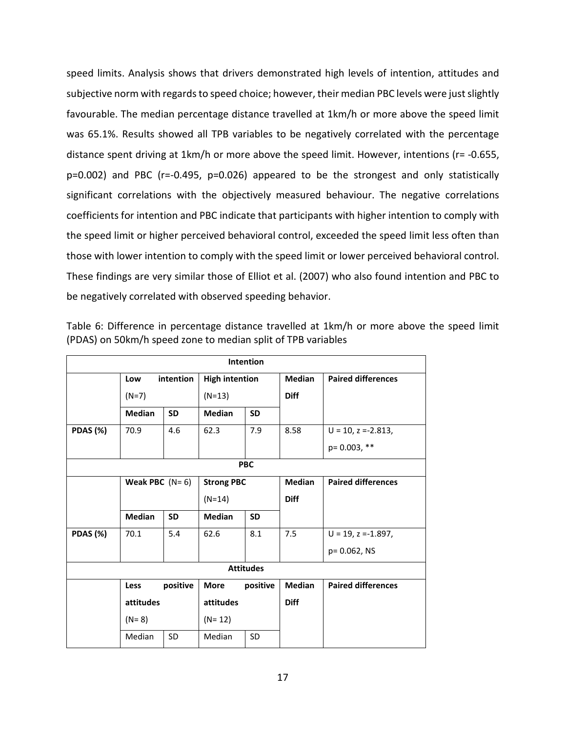speed limits. Analysis shows that drivers demonstrated high levels of intention, attitudes and subjective norm with regards to speed choice; however, their median PBC levels were just slightly favourable. The median percentage distance travelled at 1km/h or more above the speed limit was 65.1%. Results showed all TPB variables to be negatively correlated with the percentage distance spent driving at 1km/h or more above the speed limit. However, intentions (r= -0.655, p=0.002) and PBC (r=-0.495, p=0.026) appeared to be the strongest and only statistically significant correlations with the objectively measured behaviour. The negative correlations coefficients for intention and PBC indicate that participants with higher intention to comply with the speed limit or higher perceived behavioral control, exceeded the speed limit less often than those with lower intention to comply with the speed limit or lower perceived behavioral control. These findings are very similar those of Elliot et al. (2007) who also found intention and PBC to be negatively correlated with observed speeding behavior.

|          |                  |           |                   | Intention             |               |                           |  |  |  |  |
|----------|------------------|-----------|-------------------|-----------------------|---------------|---------------------------|--|--|--|--|
|          | Low              | intention |                   | <b>High intention</b> |               | <b>Paired differences</b> |  |  |  |  |
|          | $(N=7)$          |           | $(N=13)$          |                       | <b>Diff</b>   |                           |  |  |  |  |
|          | <b>Median</b>    | <b>SD</b> | <b>Median</b>     | <b>SD</b>             |               |                           |  |  |  |  |
| PDAS (%) | 70.9             | 4.6       | 62.3              | 7.9                   | 8.58          | $U = 10$ , $z = -2.813$ , |  |  |  |  |
|          |                  |           |                   |                       |               | $p = 0.003,$ **           |  |  |  |  |
|          | <b>PBC</b>       |           |                   |                       |               |                           |  |  |  |  |
|          | Weak PBC $(N=6)$ |           | <b>Strong PBC</b> | <b>Median</b>         |               | <b>Paired differences</b> |  |  |  |  |
|          |                  |           | $(N=14)$          |                       | <b>Diff</b>   |                           |  |  |  |  |
|          | <b>Median</b>    | <b>SD</b> | <b>Median</b>     | <b>SD</b>             |               |                           |  |  |  |  |
| PDAS (%) | 70.1             | 5.4       | 62.6              | 8.1                   | 7.5           | $U = 19$ , $z = -1.897$ , |  |  |  |  |
|          |                  |           |                   |                       |               | p= 0.062, NS              |  |  |  |  |
|          |                  |           |                   | <b>Attitudes</b>      |               |                           |  |  |  |  |
|          | <b>Less</b>      | positive  | <b>More</b>       | positive              | <b>Median</b> | <b>Paired differences</b> |  |  |  |  |
|          | attitudes        |           | attitudes         |                       | <b>Diff</b>   |                           |  |  |  |  |
|          | $(N = 8)$        |           | $(N=12)$          |                       |               |                           |  |  |  |  |
|          | Median           | <b>SD</b> | Median            | <b>SD</b>             |               |                           |  |  |  |  |

Table 6: Difference in percentage distance travelled at 1km/h or more above the speed limit (PDAS) on 50km/h speed zone to median split of TPB variables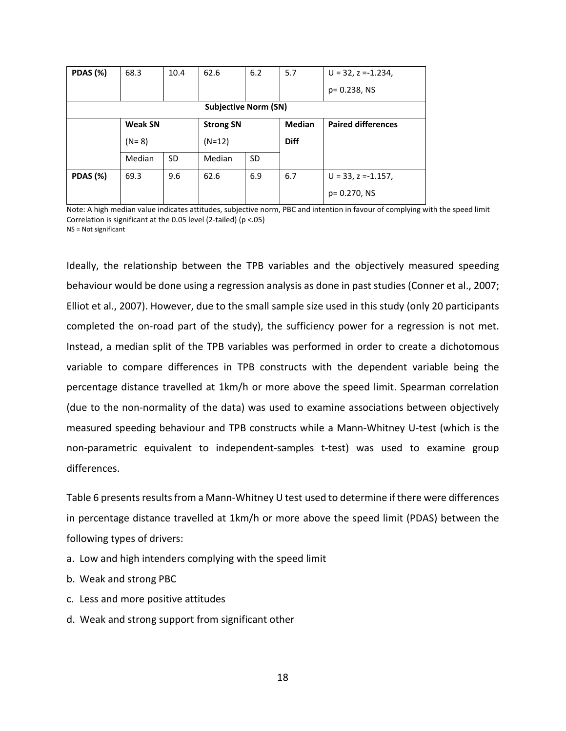| PDAS (%)        | 68.3           | 10.4      | 62.6                        | 6.2 | 5.7           | $U = 32$ , z = -1.234,    |
|-----------------|----------------|-----------|-----------------------------|-----|---------------|---------------------------|
|                 |                |           |                             |     |               | p= 0.238, NS              |
|                 |                |           | <b>Subjective Norm (SN)</b> |     |               |                           |
|                 | <b>Weak SN</b> |           | <b>Strong SN</b>            |     | <b>Median</b> | <b>Paired differences</b> |
|                 | $(N=8)$        |           | $(N=12)$                    |     | <b>Diff</b>   |                           |
|                 | Median         | <b>SD</b> | Median                      | SD  |               |                           |
| <b>PDAS (%)</b> | 69.3           | 9.6       | 62.6                        | 6.9 | 6.7           | $U = 33$ , $z = -1.157$ , |
|                 |                |           |                             |     |               | p= 0.270, NS              |

Note: A high median value indicates attitudes, subjective norm, PBC and intention in favour of complying with the speed limit Correlation is significant at the 0.05 level (2-tailed) (p <.05) NS = Not significant

Ideally, the relationship between the TPB variables and the objectively measured speeding behaviour would be done using a regression analysis as done in past studies (Conner et al., 2007; Elliot et al., 2007). However, due to the small sample size used in this study (only 20 participants completed the on-road part of the study), the sufficiency power for a regression is not met. Instead, a median split of the TPB variables was performed in order to create a dichotomous variable to compare differences in TPB constructs with the dependent variable being the percentage distance travelled at 1km/h or more above the speed limit. Spearman correlation (due to the non-normality of the data) was used to examine associations between objectively measured speeding behaviour and TPB constructs while a Mann-Whitney U-test (which is the non-parametric equivalent to independent-samples t-test) was used to examine group differences.

Table 6 presents results from a Mann-Whitney U test used to determine if there were differences in percentage distance travelled at 1km/h or more above the speed limit (PDAS) between the following types of drivers:

- a. Low and high intenders complying with the speed limit
- b. Weak and strong PBC
- c. Less and more positive attitudes
- d. Weak and strong support from significant other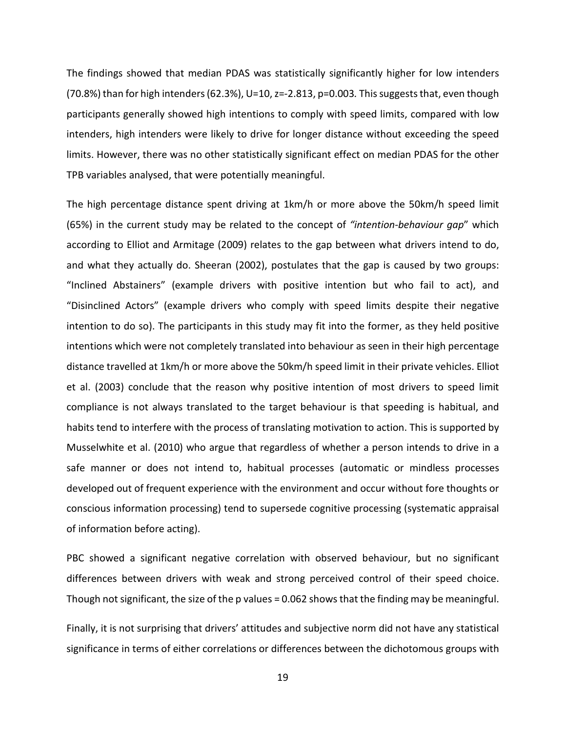The findings showed that median PDAS was statistically significantly higher for low intenders (70.8%) than for high intenders (62.3%), U=10, z=-2.813, p=0.003*.* This suggests that, even though participants generally showed high intentions to comply with speed limits, compared with low intenders, high intenders were likely to drive for longer distance without exceeding the speed limits. However, there was no other statistically significant effect on median PDAS for the other TPB variables analysed, that were potentially meaningful.

The high percentage distance spent driving at 1km/h or more above the 50km/h speed limit (65%) in the current study may be related to the concept of *"intention-behaviour gap*" which according to Elliot and Armitage (2009) relates to the gap between what drivers intend to do, and what they actually do. Sheeran (2002), postulates that the gap is caused by two groups: "Inclined Abstainers" (example drivers with positive intention but who fail to act), and "Disinclined Actors" (example drivers who comply with speed limits despite their negative intention to do so). The participants in this study may fit into the former, as they held positive intentions which were not completely translated into behaviour as seen in their high percentage distance travelled at 1km/h or more above the 50km/h speed limit in their private vehicles. Elliot et al. (2003) conclude that the reason why positive intention of most drivers to speed limit compliance is not always translated to the target behaviour is that speeding is habitual, and habits tend to interfere with the process of translating motivation to action. This is supported by Musselwhite et al. (2010) who argue that regardless of whether a person intends to drive in a safe manner or does not intend to, habitual processes (automatic or mindless processes developed out of frequent experience with the environment and occur without fore thoughts or conscious information processing) tend to supersede cognitive processing (systematic appraisal of information before acting).

PBC showed a significant negative correlation with observed behaviour, but no significant differences between drivers with weak and strong perceived control of their speed choice. Though not significant, the size of the p values = 0.062 shows that the finding may be meaningful.

Finally, it is not surprising that drivers' attitudes and subjective norm did not have any statistical significance in terms of either correlations or differences between the dichotomous groups with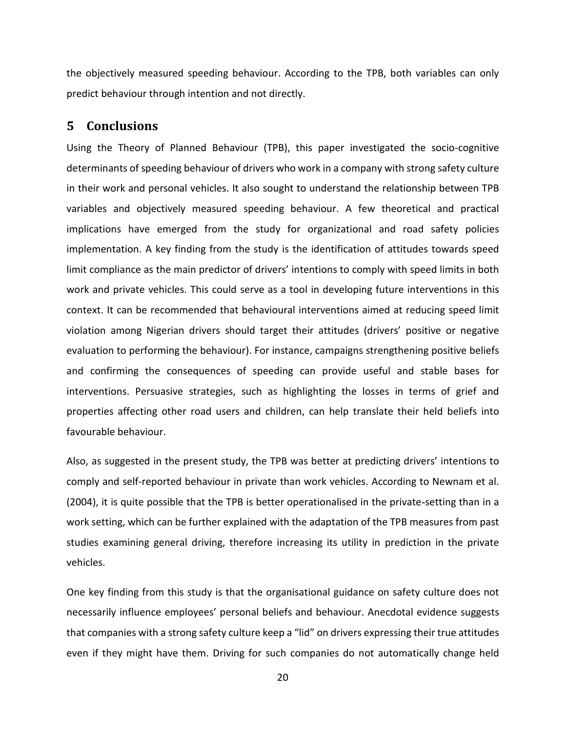the objectively measured speeding behaviour. According to the TPB, both variables can only predict behaviour through intention and not directly.

# **5 Conclusions**

Using the Theory of Planned Behaviour (TPB), this paper investigated the socio-cognitive determinants of speeding behaviour of drivers who work in a company with strong safety culture in their work and personal vehicles. It also sought to understand the relationship between TPB variables and objectively measured speeding behaviour. A few theoretical and practical implications have emerged from the study for organizational and road safety policies implementation. A key finding from the study is the identification of attitudes towards speed limit compliance as the main predictor of drivers' intentions to comply with speed limits in both work and private vehicles. This could serve as a tool in developing future interventions in this context. It can be recommended that behavioural interventions aimed at reducing speed limit violation among Nigerian drivers should target their attitudes (drivers' positive or negative evaluation to performing the behaviour). For instance, campaigns strengthening positive beliefs and confirming the consequences of speeding can provide useful and stable bases for interventions. Persuasive strategies, such as highlighting the losses in terms of grief and properties affecting other road users and children, can help translate their held beliefs into favourable behaviour.

Also, as suggested in the present study, the TPB was better at predicting drivers' intentions to comply and self-reported behaviour in private than work vehicles. According to Newnam et al. (2004), it is quite possible that the TPB is better operationalised in the private-setting than in a work setting, which can be further explained with the adaptation of the TPB measures from past studies examining general driving, therefore increasing its utility in prediction in the private vehicles.

One key finding from this study is that the organisational guidance on safety culture does not necessarily influence employees' personal beliefs and behaviour. Anecdotal evidence suggests that companies with a strong safety culture keep a "lid" on drivers expressing their true attitudes even if they might have them. Driving for such companies do not automatically change held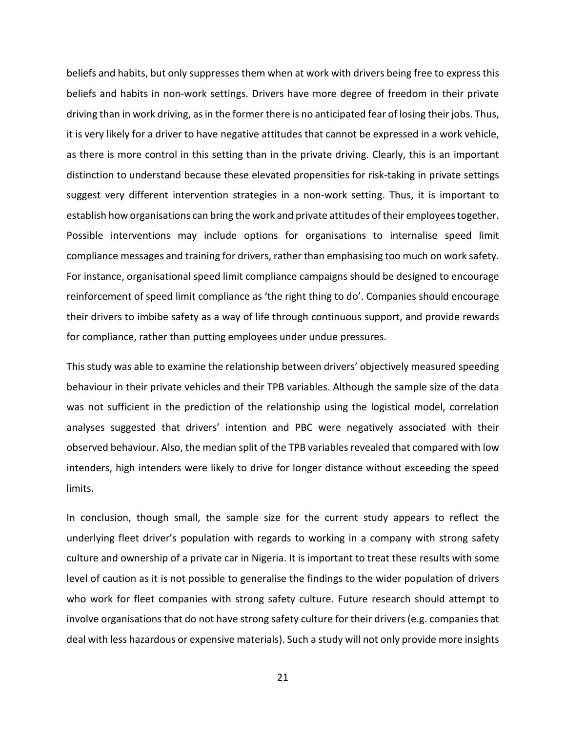beliefs and habits, but only suppresses them when at work with drivers being free to express this beliefs and habits in non-work settings. Drivers have more degree of freedom in their private driving than in work driving, as in the former there is no anticipated fear of losing their jobs. Thus, it is very likely for a driver to have negative attitudes that cannot be expressed in a work vehicle, as there is more control in this setting than in the private driving. Clearly, this is an important distinction to understand because these elevated propensities for risk-taking in private settings suggest very different intervention strategies in a non-work setting. Thus, it is important to establish how organisations can bring the work and private attitudes of their employees together. Possible interventions may include options for organisations to internalise speed limit compliance messages and training for drivers, rather than emphasising too much on work safety. For instance, organisational speed limit compliance campaigns should be designed to encourage reinforcement of speed limit compliance as 'the right thing to do'. Companies should encourage their drivers to imbibe safety as a way of life through continuous support, and provide rewards for compliance, rather than putting employees under undue pressures.

This study was able to examine the relationship between drivers' objectively measured speeding behaviour in their private vehicles and their TPB variables. Although the sample size of the data was not sufficient in the prediction of the relationship using the logistical model, correlation analyses suggested that drivers' intention and PBC were negatively associated with their observed behaviour. Also, the median split of the TPB variables revealed that compared with low intenders, high intenders were likely to drive for longer distance without exceeding the speed limits.

In conclusion, though small, the sample size for the current study appears to reflect the underlying fleet driver's population with regards to working in a company with strong safety culture and ownership of a private car in Nigeria. It is important to treat these results with some level of caution as it is not possible to generalise the findings to the wider population of drivers who work for fleet companies with strong safety culture. Future research should attempt to involve organisations that do not have strong safety culture for their drivers (e.g. companies that deal with less hazardous or expensive materials). Such a study will not only provide more insights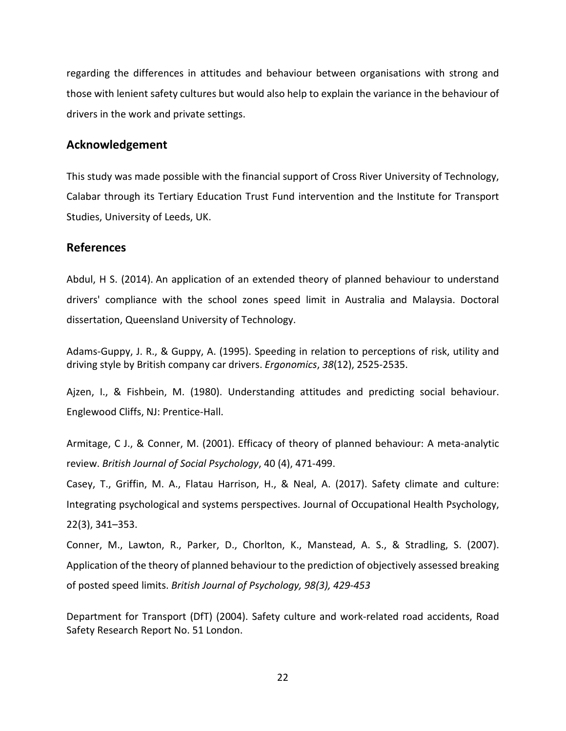regarding the differences in attitudes and behaviour between organisations with strong and those with lenient safety cultures but would also help to explain the variance in the behaviour of drivers in the work and private settings.

#### **Acknowledgement**

This study was made possible with the financial support of Cross River University of Technology, Calabar through its Tertiary Education Trust Fund intervention and the Institute for Transport Studies, University of Leeds, UK.

### **References**

Abdul, H S. (2014). An application of an extended theory of planned behaviour to understand drivers' compliance with the school zones speed limit in Australia and Malaysia. Doctoral dissertation, Queensland University of Technology.

Adams-Guppy, J. R., & Guppy, A. (1995). Speeding in relation to perceptions of risk, utility and driving style by British company car drivers. *Ergonomics*, *38*(12), 2525-2535.

Ajzen, I., & Fishbein, M. (1980). Understanding attitudes and predicting social behaviour. Englewood Cliffs, NJ: Prentice-Hall.

Armitage, C J., & Conner, M. (2001). Efficacy of theory of planned behaviour: A meta-analytic review. *British Journal of Social Psychology*, 40 (4), 471-499.

Casey, T., Griffin, M. A., Flatau Harrison, H., & Neal, A. (2017). Safety climate and culture: Integrating psychological and systems perspectives. Journal of Occupational Health Psychology, 22(3), 341–353.

Conner, M., Lawton, R., Parker, D., Chorlton, K., Manstead, A. S., & Stradling, S. (2007). Application of the theory of planned behaviour to the prediction of objectively assessed breaking of posted speed limits. *British Journal of Psychology, 98(3), 429-453*

Department for Transport (DfT) (2004). Safety culture and work-related road accidents, Road Safety Research Report No. 51 London.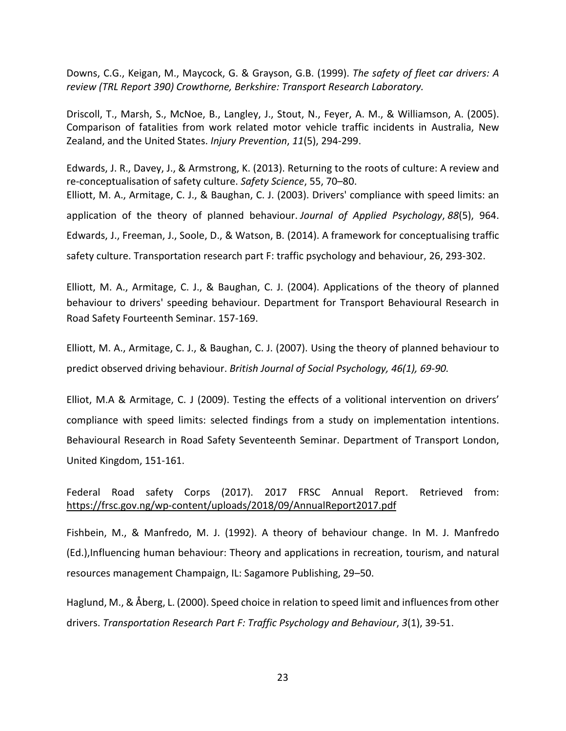Downs, C.G., Keigan, M., Maycock, G. & Grayson, G.B. (1999). *The safety of fleet car drivers: A review (TRL Report 390) Crowthorne, Berkshire: Transport Research Laboratory.*

Driscoll, T., Marsh, S., McNoe, B., Langley, J., Stout, N., Feyer, A. M., & Williamson, A. (2005). Comparison of fatalities from work related motor vehicle traffic incidents in Australia, New Zealand, and the United States. *Injury Prevention*, *11*(5), 294-299.

Edwards, J. R., Davey, J., & Armstrong, K. (2013). Returning to the roots of culture: A review and re-conceptualisation of safety culture. *Safety Science*, 55, 70–80. Elliott, M. A., Armitage, C. J., & Baughan, C. J. (2003). Drivers' compliance with speed limits: an application of the theory of planned behaviour. *Journal of Applied Psychology*, *88*(5), 964. Edwards, J., Freeman, J., Soole, D., & Watson, B. (2014). A framework for conceptualising traffic safety culture. Transportation research part F: traffic psychology and behaviour, 26, 293-302.

Elliott, M. A., Armitage, C. J., & Baughan, C. J. (2004). Applications of the theory of planned behaviour to drivers' speeding behaviour. Department for Transport Behavioural Research in Road Safety Fourteenth Seminar. 157-169.

Elliott, M. A., Armitage, C. J., & Baughan, C. J. (2007). Using the theory of planned behaviour to predict observed driving behaviour. *British Journal of Social Psychology, 46(1), 69-90.*

Elliot, M.A & Armitage, C. J (2009). Testing the effects of a volitional intervention on drivers' compliance with speed limits: selected findings from a study on implementation intentions. Behavioural Research in Road Safety Seventeenth Seminar. Department of Transport London, United Kingdom, 151-161.

Federal Road safety Corps (2017). 2017 FRSC Annual Report. Retrieved from: https://frsc.gov.ng/wp-content/uploads/2018/09/AnnualReport2017.pdf

Fishbein, M., & Manfredo, M. J. (1992). A theory of behaviour change. In M. J. Manfredo (Ed.),Influencing human behaviour: Theory and applications in recreation, tourism, and natural resources management Champaign, IL: Sagamore Publishing, 29–50.

Haglund, M., & Åberg, L. (2000). Speed choice in relation to speed limit and influences from other drivers. *Transportation Research Part F: Traffic Psychology and Behaviour*, *3*(1), 39-51.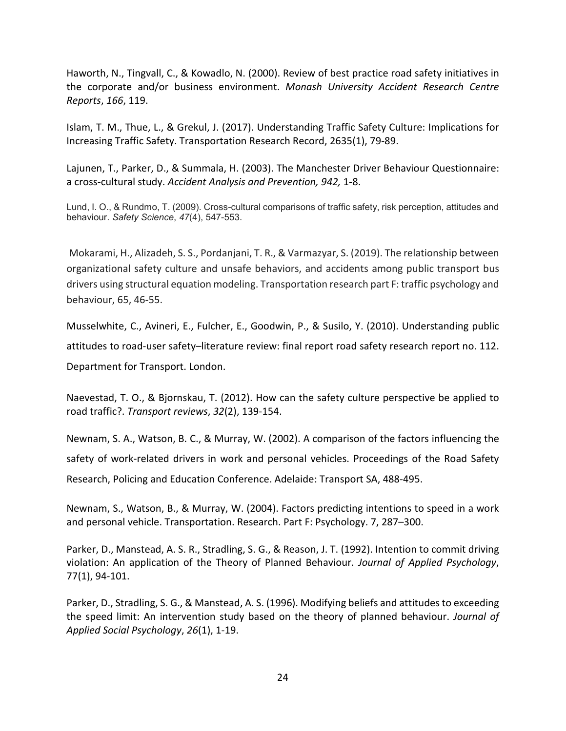Haworth, N., Tingvall, C., & Kowadlo, N. (2000). Review of best practice road safety initiatives in the corporate and/or business environment. *Monash University Accident Research Centre Reports*, *166*, 119.

Islam, T. M., Thue, L., & Grekul, J. (2017). Understanding Traffic Safety Culture: Implications for Increasing Traffic Safety. Transportation Research Record, 2635(1), 79-89.

Lajunen, T., Parker, D., & Summala, H. (2003). The Manchester Driver Behaviour Questionnaire: a cross-cultural study. *Accident Analysis and Prevention, 942,* 1-8.

Lund, I. O., & Rundmo, T. (2009). Cross-cultural comparisons of traffic safety, risk perception, attitudes and behaviour. *Safety Science*, *47*(4), 547-553.

Mokarami, H., Alizadeh, S. S., Pordanjani, T. R., & Varmazyar, S. (2019). The relationship between organizational safety culture and unsafe behaviors, and accidents among public transport bus drivers using structural equation modeling. Transportation research part F: traffic psychology and behaviour, 65, 46-55.

Musselwhite, C., Avineri, E., Fulcher, E., Goodwin, P., & Susilo, Y. (2010). Understanding public attitudes to road-user safety–literature review: final report road safety research report no. 112. Department for Transport. London.

Naevestad, T. O., & Bjornskau, T. (2012). How can the safety culture perspective be applied to road traffic?. *Transport reviews*, *32*(2), 139-154.

Newnam, S. A., Watson, B. C., & Murray, W. (2002). A comparison of the factors influencing the safety of work-related drivers in work and personal vehicles. Proceedings of the Road Safety Research, Policing and Education Conference. Adelaide: Transport SA, 488-495.

Newnam, S., Watson, B., & Murray, W. (2004). Factors predicting intentions to speed in a work and personal vehicle. Transportation. Research. Part F: Psychology. 7, 287–300.

Parker, D., Manstead, A. S. R., Stradling, S. G., & Reason, J. T. (1992). Intention to commit driving violation: An application of the Theory of Planned Behaviour. *Journal of Applied Psychology*, 77(1), 94-101.

Parker, D., Stradling, S. G., & Manstead, A. S. (1996). Modifying beliefs and attitudes to exceeding the speed limit: An intervention study based on the theory of planned behaviour. *Journal of Applied Social Psychology*, *26*(1), 1-19.